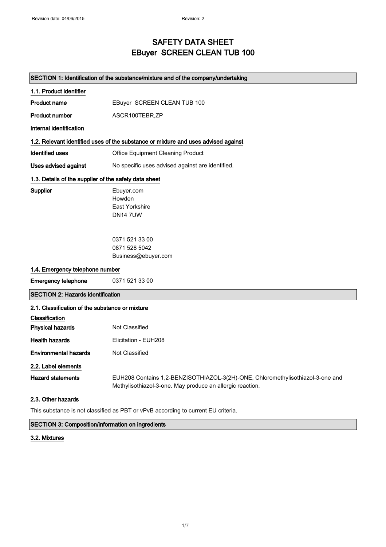## SAFETY DATA SHEET EBuyer SCREEN CLEAN TUB 100

### SECTION 1: Identification of the substance/mixture and of the company/undertaking

| 1.1. Product identifier                                                            |                                                                                                                                             |  |  |
|------------------------------------------------------------------------------------|---------------------------------------------------------------------------------------------------------------------------------------------|--|--|
| <b>Product name</b>                                                                | EBuyer SCREEN CLEAN TUB 100                                                                                                                 |  |  |
| <b>Product number</b>                                                              | ASCR100TEBR,ZP                                                                                                                              |  |  |
| Internal identification                                                            |                                                                                                                                             |  |  |
| 1.2. Relevant identified uses of the substance or mixture and uses advised against |                                                                                                                                             |  |  |
| Identified uses                                                                    | <b>Office Equipment Cleaning Product</b>                                                                                                    |  |  |
| <b>Uses advised against</b>                                                        | No specific uses advised against are identified.                                                                                            |  |  |
| 1.3. Details of the supplier of the safety data sheet                              |                                                                                                                                             |  |  |
| Supplier                                                                           | Ebuyer.com<br>Howden<br>East Yorkshire<br><b>DN147UW</b>                                                                                    |  |  |
| 1.4. Emergency telephone number                                                    | 0371 521 33 00<br>0871 528 5042<br>Business@ebuyer.com                                                                                      |  |  |
| <b>Emergency telephone</b>                                                         | 0371 521 33 00                                                                                                                              |  |  |
| <b>SECTION 2: Hazards identification</b>                                           |                                                                                                                                             |  |  |
| 2.1. Classification of the substance or mixture                                    |                                                                                                                                             |  |  |
| Classification                                                                     |                                                                                                                                             |  |  |
| <b>Physical hazards</b>                                                            | Not Classified                                                                                                                              |  |  |
| <b>Health hazards</b>                                                              | Elicitation - EUH208                                                                                                                        |  |  |
| <b>Environmental hazards</b>                                                       | Not Classified                                                                                                                              |  |  |
| 2.2. Label elements                                                                |                                                                                                                                             |  |  |
| <b>Hazard statements</b>                                                           | EUH208 Contains 1,2-BENZISOTHIAZOL-3(2H)-ONE, Chloromethylisothiazol-3-one and<br>Methylisothiazol-3-one. May produce an allergic reaction. |  |  |
| 2.3. Other hazards                                                                 |                                                                                                                                             |  |  |

This substance is not classified as PBT or vPvB according to current EU criteria.

### SECTION 3: Composition/information on ingredients

### 3.2. Mixtures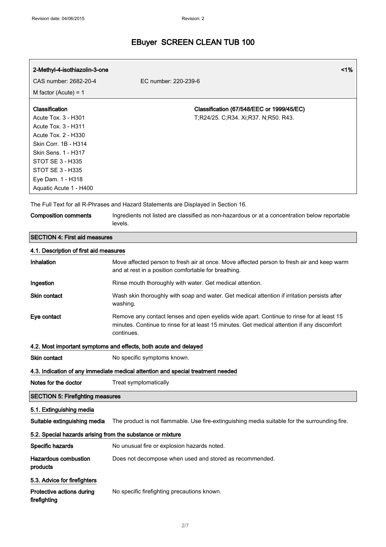| 2-Methyl-4-isothiazolin-3-one | $1\%$                                     |
|-------------------------------|-------------------------------------------|
| CAS number: 2682-20-4         | EC number: 220-239-6                      |
| M factor (Acute) = $1$        |                                           |
| Classification                | Classification (67/548/EEC or 1999/45/EC) |
| Acute Tox. 3 - H301           | T;R24/25. C;R34. Xi;R37. N;R50. R43.      |
| Acute Tox. 3 - H311           |                                           |
| Acute Tox. 2 - H330           |                                           |
| Skin Corr. 1B - H314          |                                           |
| Skin Sens. 1 - H317           |                                           |
| STOT SE 3 - H335              |                                           |
| STOT SE 3 - H335              |                                           |
| Eye Dam. 1 - H318             |                                           |
| Aquatic Acute 1 - H400        |                                           |

The Full Text for all R-Phrases and Hazard Statements are Displayed in Section 16.

Composition comments **Ingredients not listed are classified as non-hazardous or at a concentration below reportable** levels.

# SECTION 4: First aid measures 4.1. Description of first aid measures Inhalation Move affected person to fresh air at once. Move affected person to fresh air and keep warm and at rest in a position comfortable for breathing. **Ingestion** Rinse mouth thoroughly with water. Get medical attention. Skin contact **Wash skin thoroughly with soap and water**. Get medical attention if irritation persists after washing. Eye contact Remove any contact lenses and open eyelids wide apart. Continue to rinse for at least 15 minutes. Continue to rinse for at least 15 minutes. Get medical attention if any discomfort continues. 4.2. Most important symptoms and effects, both acute and delayed Skin contact No specific symptoms known. 4.3. Indication of any immediate medical attention and special treatment needed Notes for the doctor Treat symptomatically SECTION 5: Firefighting measures 5.1. Extinguishing media Suitable extinguishing media The product is not flammable. Use fire-extinguishing media suitable for the surrounding fire. 5.2. Special hazards arising from the substance or mixture Specific hazards No unusual fire or explosion hazards noted. Hazardous combustion products Does not decompose when used and stored as recommended. 5.3. Advice for firefighters

Protective actions during firefighting No specific firefighting precautions known.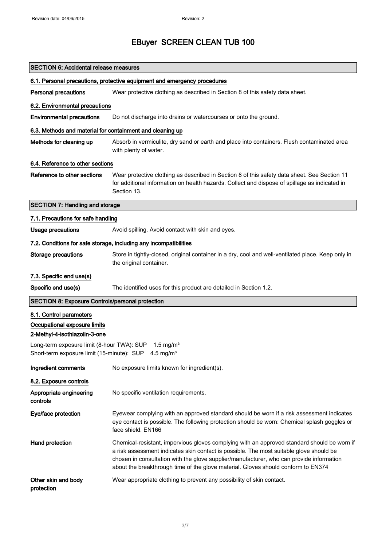| <b>SECTION 6: Accidental release measures</b>                                                                                        |                                                                                                                                                                                                                                                                                                                                                                         |  |
|--------------------------------------------------------------------------------------------------------------------------------------|-------------------------------------------------------------------------------------------------------------------------------------------------------------------------------------------------------------------------------------------------------------------------------------------------------------------------------------------------------------------------|--|
| 6.1. Personal precautions, protective equipment and emergency procedures                                                             |                                                                                                                                                                                                                                                                                                                                                                         |  |
| <b>Personal precautions</b>                                                                                                          | Wear protective clothing as described in Section 8 of this safety data sheet.                                                                                                                                                                                                                                                                                           |  |
| 6.2. Environmental precautions                                                                                                       |                                                                                                                                                                                                                                                                                                                                                                         |  |
| <b>Environmental precautions</b>                                                                                                     | Do not discharge into drains or watercourses or onto the ground.                                                                                                                                                                                                                                                                                                        |  |
| 6.3. Methods and material for containment and cleaning up                                                                            |                                                                                                                                                                                                                                                                                                                                                                         |  |
| Methods for cleaning up                                                                                                              | Absorb in vermiculite, dry sand or earth and place into containers. Flush contaminated area<br>with plenty of water.                                                                                                                                                                                                                                                    |  |
| 6.4. Reference to other sections                                                                                                     |                                                                                                                                                                                                                                                                                                                                                                         |  |
| Reference to other sections                                                                                                          | Wear protective clothing as described in Section 8 of this safety data sheet. See Section 11<br>for additional information on health hazards. Collect and dispose of spillage as indicated in<br>Section 13.                                                                                                                                                            |  |
| <b>SECTION 7: Handling and storage</b>                                                                                               |                                                                                                                                                                                                                                                                                                                                                                         |  |
| 7.1. Precautions for safe handling                                                                                                   |                                                                                                                                                                                                                                                                                                                                                                         |  |
| <b>Usage precautions</b>                                                                                                             | Avoid spilling. Avoid contact with skin and eyes.                                                                                                                                                                                                                                                                                                                       |  |
| 7.2. Conditions for safe storage, including any incompatibilities                                                                    |                                                                                                                                                                                                                                                                                                                                                                         |  |
| <b>Storage precautions</b>                                                                                                           | Store in tightly-closed, original container in a dry, cool and well-ventilated place. Keep only in<br>the original container.                                                                                                                                                                                                                                           |  |
| 7.3. Specific end use(s)                                                                                                             |                                                                                                                                                                                                                                                                                                                                                                         |  |
| Specific end use(s)                                                                                                                  | The identified uses for this product are detailed in Section 1.2.                                                                                                                                                                                                                                                                                                       |  |
| <b>SECTION 8: Exposure Controls/personal protection</b>                                                                              |                                                                                                                                                                                                                                                                                                                                                                         |  |
| 8.1. Control parameters                                                                                                              |                                                                                                                                                                                                                                                                                                                                                                         |  |
| Occupational exposure limits                                                                                                         |                                                                                                                                                                                                                                                                                                                                                                         |  |
| 2-Methyl-4-isothiazolin-3-one                                                                                                        |                                                                                                                                                                                                                                                                                                                                                                         |  |
| Long-term exposure limit (8-hour TWA): SUP 1.5 mg/m <sup>3</sup><br>Short-term exposure limit (15-minute): SUP 4.5 mg/m <sup>3</sup> |                                                                                                                                                                                                                                                                                                                                                                         |  |
| Ingredient comments                                                                                                                  | No exposure limits known for ingredient(s).                                                                                                                                                                                                                                                                                                                             |  |
| 8.2. Exposure controls                                                                                                               |                                                                                                                                                                                                                                                                                                                                                                         |  |
| Appropriate engineering<br>controls                                                                                                  | No specific ventilation requirements.                                                                                                                                                                                                                                                                                                                                   |  |
| Eye/face protection                                                                                                                  | Eyewear complying with an approved standard should be worn if a risk assessment indicates<br>eye contact is possible. The following protection should be worn: Chemical splash goggles or<br>face shield, EN166                                                                                                                                                         |  |
| Hand protection                                                                                                                      | Chemical-resistant, impervious gloves complying with an approved standard should be worn if<br>a risk assessment indicates skin contact is possible. The most suitable glove should be<br>chosen in consultation with the glove supplier/manufacturer, who can provide information<br>about the breakthrough time of the glove material. Gloves should conform to EN374 |  |
| Other skin and body<br>protection                                                                                                    | Wear appropriate clothing to prevent any possibility of skin contact.                                                                                                                                                                                                                                                                                                   |  |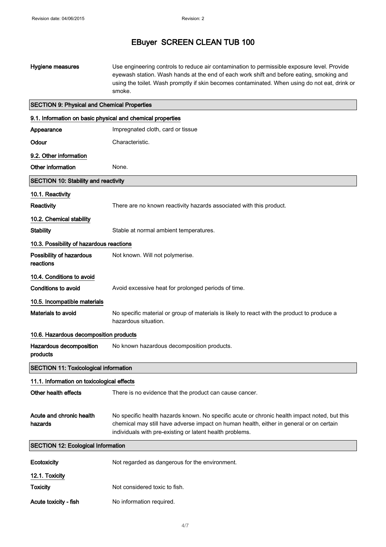### Hygiene measures **Exercise Engineering controls to reduce air contamination to permissible exposure level. Provide** eyewash station. Wash hands at the end of each work shift and before eating, smoking and using the toilet. Wash promptly if skin becomes contaminated. When using do not eat, drink or smoke.

# SECTION 9: Physical and Chemical Properties 9.1. Information on basic physical and chemical properties Appearance Impregnated cloth, card or tissue Odour Characteristic. 9.2. Other information Other information None. SECTION 10: Stability and reactivity 10.1. Reactivity Reactivity **There are no known reactivity hazards associated with this product.** 10.2. Chemical stability Stability Stable at normal ambient temperatures. 10.3. Possibility of hazardous reactions Possibility of hazardous reactions Not known. Will not polymerise. 10.4. Conditions to avoid Conditions to avoid **Avoid excessive heat for prolonged periods of time.** 10.5. Incompatible materials Materials to avoid No specific material or group of materials is likely to react with the product to produce a hazardous situation. 10.6. Hazardous decomposition products Hazardous decomposition products No known hazardous decomposition products. SECTION 11: Toxicological information 11.1. Information on toxicological effects Other health effects There is no evidence that the product can cause cancer. Acute and chronic health hazards No specific health hazards known. No specific acute or chronic health impact noted, but this chemical may still have adverse impact on human health, either in general or on certain individuals with pre-existing or latent health problems. SECTION 12: Ecological Information Ecotoxicity **Ecotoxicity** Not regarded as dangerous for the environment. 12.1. Toxicity

| <b>Toxicity</b> | Not considered toxic to fish. |
|-----------------|-------------------------------|
|                 |                               |

Acute toxicity - fish No information required.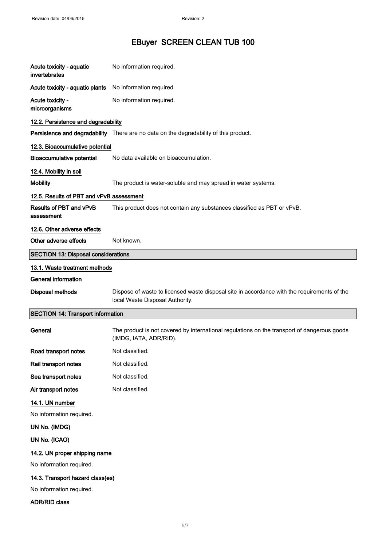| Acute toxicity - aquatic<br>invertebrates  | No information required.                                                                                                       |
|--------------------------------------------|--------------------------------------------------------------------------------------------------------------------------------|
| Acute toxicity - aquatic plants            | No information required.                                                                                                       |
| Acute toxicity -<br>microorganisms         | No information required.                                                                                                       |
| 12.2. Persistence and degradability        |                                                                                                                                |
|                                            | Persistence and degradability There are no data on the degradability of this product.                                          |
| 12.3. Bioaccumulative potential            |                                                                                                                                |
| <b>Bioaccumulative potential</b>           | No data available on bioaccumulation.                                                                                          |
| 12.4. Mobility in soil                     |                                                                                                                                |
| <b>Mobility</b>                            | The product is water-soluble and may spread in water systems.                                                                  |
| 12.5. Results of PBT and vPvB assessment   |                                                                                                                                |
| Results of PBT and vPvB<br>assessment      | This product does not contain any substances classified as PBT or vPvB.                                                        |
| 12.6. Other adverse effects                |                                                                                                                                |
| Other adverse effects                      | Not known.                                                                                                                     |
| <b>SECTION 13: Disposal considerations</b> |                                                                                                                                |
| 13.1. Waste treatment methods              |                                                                                                                                |
| <b>General information</b>                 |                                                                                                                                |
| <b>Disposal methods</b>                    | Dispose of waste to licensed waste disposal site in accordance with the requirements of the<br>local Waste Disposal Authority. |
| <b>SECTION 14: Transport information</b>   |                                                                                                                                |
|                                            |                                                                                                                                |
| General                                    | The product is not covered by international regulations on the transport of dangerous goods<br>(IMDG, IATA, ADR/RID).          |
| Road transport notes                       | Not classified.                                                                                                                |
| Rail transport notes                       | Not classified.                                                                                                                |
| Sea transport notes                        | Not classified.                                                                                                                |
| Air transport notes                        | Not classified.                                                                                                                |
| 14.1. UN number                            |                                                                                                                                |
| No information required.                   |                                                                                                                                |
| UN No. (IMDG)                              |                                                                                                                                |
| UN No. (ICAO)                              |                                                                                                                                |
| 14.2. UN proper shipping name              |                                                                                                                                |
| No information required.                   |                                                                                                                                |
| 14.3. Transport hazard class(es)           |                                                                                                                                |
| No information required.                   |                                                                                                                                |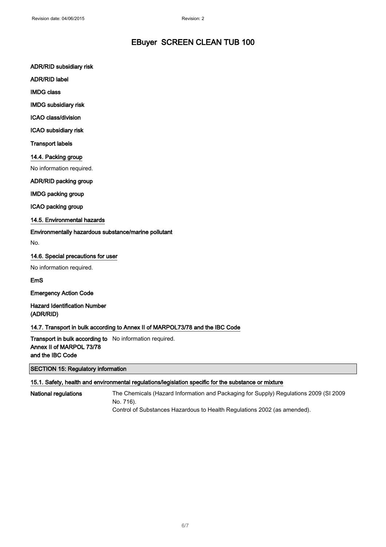ADR/RID subsidiary risk

ADR/RID label

IMDG class

IMDG subsidiary risk

ICAO class/division

ICAO subsidiary risk

Transport labels

#### 14.4. Packing group

No information required.

### ADR/RID packing group

IMDG packing group

ICAO packing group

14.5. Environmental hazards

Environmentally hazardous substance/marine pollutant

No.

### 14.6. Special precautions for user

No information required.

EmS

Emergency Action Code

Hazard Identification Number (ADR/RID)

### 14.7. Transport in bulk according to Annex II of MARPOL73/78 and the IBC Code

**Transport in bulk according to** No information required. Annex II of MARPOL 73/78 and the IBC Code

SECTION 15: Regulatory information

#### 15.1. Safety, health and environmental regulations/legislation specific for the substance or mixture

National regulations The Chemicals (Hazard Information and Packaging for Supply) Regulations 2009 (SI 2009 No. 716). Control of Substances Hazardous to Health Regulations 2002 (as amended).